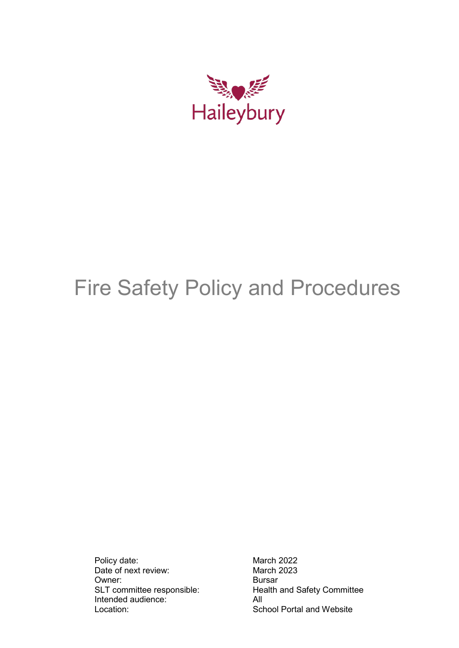

# Fire Safety Policy and Procedures

Policy date: March 2022<br>Date of next review: March 2023 Date of next review: March 2023<br>
Owner: Bursar Owner:<br>SLT committee responsible: Intended audience: All Location: School Portal and Website

Health and Safety Committee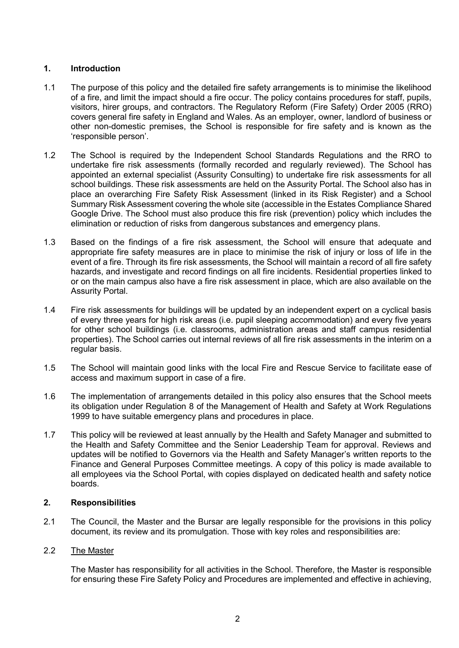# **1. Introduction**

- 1.1 The purpose of this policy and the detailed fire safety arrangements is to minimise the likelihood of a fire, and limit the impact should a fire occur. The policy contains procedures for staff, pupils, visitors, hirer groups, and contractors. The Regulatory Reform (Fire Safety) Order 2005 (RRO) covers general fire safety in England and Wales. As an employer, owner, landlord of business or other non-domestic premises, the School is responsible for fire safety and is known as the 'responsible person'.
- 1.2 The School is required by the Independent School Standards Regulations and the RRO to undertake fire risk assessments (formally recorded and regularly reviewed). The School has appointed an external specialist (Assurity Consulting) to undertake fire risk assessments for all school buildings. These risk assessments are held on the Assurity Portal. The School also has in place an overarching Fire Safety Risk Assessment (linked in its Risk Register) and a School Summary Risk Assessment covering the whole site (accessible in the Estates Compliance Shared Google Drive. The School must also produce this fire risk (prevention) policy which includes the elimination or reduction of risks from dangerous substances and emergency plans.
- 1.3 Based on the findings of a fire risk assessment, the School will ensure that adequate and appropriate fire safety measures are in place to minimise the risk of injury or loss of life in the event of a fire. Through its fire risk assessments, the School will maintain a record of all fire safety hazards, and investigate and record findings on all fire incidents. Residential properties linked to or on the main campus also have a fire risk assessment in place, which are also available on the Assurity Portal.
- 1.4 Fire risk assessments for buildings will be updated by an independent expert on a cyclical basis of every three years for high risk areas (i.e. pupil sleeping accommodation) and every five years for other school buildings (i.e. classrooms, administration areas and staff campus residential properties). The School carries out internal reviews of all fire risk assessments in the interim on a regular basis.
- 1.5 The School will maintain good links with the local Fire and Rescue Service to facilitate ease of access and maximum support in case of a fire.
- 1.6 The implementation of arrangements detailed in this policy also ensures that the School meets its obligation under Regulation 8 of the Management of Health and Safety at Work Regulations 1999 to have suitable emergency plans and procedures in place.
- 1.7 This policy will be reviewed at least annually by the Health and Safety Manager and submitted to the Health and Safety Committee and the Senior Leadership Team for approval. Reviews and updates will be notified to Governors via the Health and Safety Manager's written reports to the Finance and General Purposes Committee meetings. A copy of this policy is made available to all employees via the School Portal, with copies displayed on dedicated health and safety notice boards.

# **2. Responsibilities**

2.1 The Council, the Master and the Bursar are legally responsible for the provisions in this policy document, its review and its promulgation. Those with key roles and responsibilities are:

# 2.2 The Master

The Master has responsibility for all activities in the School. Therefore, the Master is responsible for ensuring these Fire Safety Policy and Procedures are implemented and effective in achieving,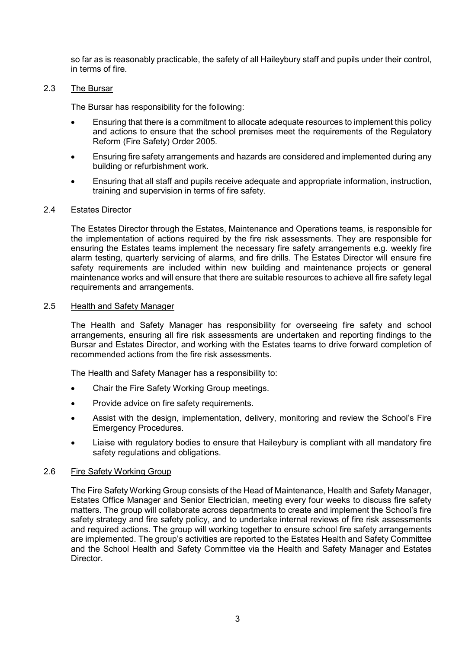so far as is reasonably practicable, the safety of all Haileybury staff and pupils under their control, in terms of fire.

## 2.3 The Bursar

The Bursar has responsibility for the following:

- Ensuring that there is a commitment to allocate adequate resources to implement this policy and actions to ensure that the school premises meet the requirements of the Regulatory Reform (Fire Safety) Order 2005.
- Ensuring fire safety arrangements and hazards are considered and implemented during any building or refurbishment work.
- Ensuring that all staff and pupils receive adequate and appropriate information, instruction, training and supervision in terms of fire safety.

## 2.4 Estates Director

The Estates Director through the Estates, Maintenance and Operations teams, is responsible for the implementation of actions required by the fire risk assessments. They are responsible for ensuring the Estates teams implement the necessary fire safety arrangements e.g. weekly fire alarm testing, quarterly servicing of alarms, and fire drills. The Estates Director will ensure fire safety requirements are included within new building and maintenance projects or general maintenance works and will ensure that there are suitable resources to achieve all fire safety legal requirements and arrangements.

#### 2.5 Health and Safety Manager

The Health and Safety Manager has responsibility for overseeing fire safety and school arrangements, ensuring all fire risk assessments are undertaken and reporting findings to the Bursar and Estates Director, and working with the Estates teams to drive forward completion of recommended actions from the fire risk assessments.

The Health and Safety Manager has a responsibility to:

- Chair the Fire Safety Working Group meetings.
- Provide advice on fire safety requirements.
- Assist with the design, implementation, delivery, monitoring and review the School's Fire Emergency Procedures.
- Liaise with regulatory bodies to ensure that Haileybury is compliant with all mandatory fire safety regulations and obligations.

#### 2.6 Fire Safety Working Group

The Fire Safety Working Group consists of the Head of Maintenance, Health and Safety Manager, Estates Office Manager and Senior Electrician, meeting every four weeks to discuss fire safety matters. The group will collaborate across departments to create and implement the School's fire safety strategy and fire safety policy, and to undertake internal reviews of fire risk assessments and required actions. The group will working together to ensure school fire safety arrangements are implemented. The group's activities are reported to the Estates Health and Safety Committee and the School Health and Safety Committee via the Health and Safety Manager and Estates Director.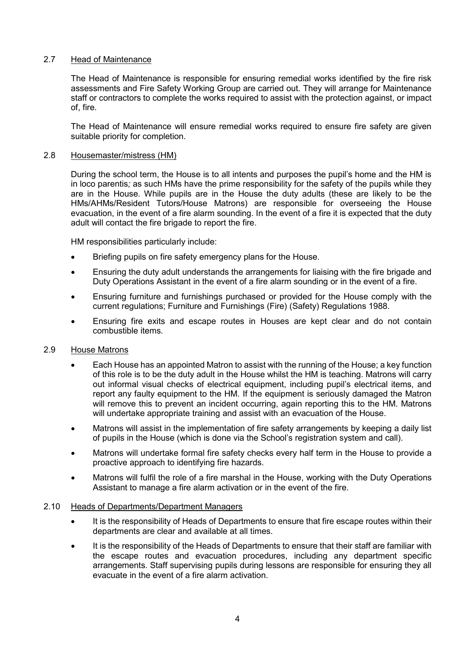# 2.7 Head of Maintenance

The Head of Maintenance is responsible for ensuring remedial works identified by the fire risk assessments and Fire Safety Working Group are carried out. They will arrange for Maintenance staff or contractors to complete the works required to assist with the protection against, or impact of, fire.

The Head of Maintenance will ensure remedial works required to ensure fire safety are given suitable priority for completion.

# 2.8 Housemaster/mistress (HM)

During the school term, the House is to all intents and purposes the pupil's home and the HM is in loco parentis*;* as such HMs have the prime responsibility for the safety of the pupils while they are in the House. While pupils are in the House the duty adults (these are likely to be the HMs/AHMs/Resident Tutors/House Matrons) are responsible for overseeing the House evacuation, in the event of a fire alarm sounding. In the event of a fire it is expected that the duty adult will contact the fire brigade to report the fire.

HM responsibilities particularly include:

- Briefing pupils on fire safety emergency plans for the House.
- Ensuring the duty adult understands the arrangements for liaising with the fire brigade and Duty Operations Assistant in the event of a fire alarm sounding or in the event of a fire.
- Ensuring furniture and furnishings purchased or provided for the House comply with the current regulations; Furniture and Furnishings (Fire) (Safety) Regulations 1988.
- Ensuring fire exits and escape routes in Houses are kept clear and do not contain combustible items.

# 2.9 House Matrons

- Each House has an appointed Matron to assist with the running of the House; a key function of this role is to be the duty adult in the House whilst the HM is teaching. Matrons will carry out informal visual checks of electrical equipment, including pupil's electrical items, and report any faulty equipment to the HM. If the equipment is seriously damaged the Matron will remove this to prevent an incident occurring, again reporting this to the HM. Matrons will undertake appropriate training and assist with an evacuation of the House.
- Matrons will assist in the implementation of fire safety arrangements by keeping a daily list of pupils in the House (which is done via the School's registration system and call).
- Matrons will undertake formal fire safety checks every half term in the House to provide a proactive approach to identifying fire hazards.
- Matrons will fulfil the role of a fire marshal in the House, working with the Duty Operations Assistant to manage a fire alarm activation or in the event of the fire.

# 2.10 Heads of Departments/Department Managers

- It is the responsibility of Heads of Departments to ensure that fire escape routes within their departments are clear and available at all times.
- It is the responsibility of the Heads of Departments to ensure that their staff are familiar with the escape routes and evacuation procedures, including any department specific arrangements. Staff supervising pupils during lessons are responsible for ensuring they all evacuate in the event of a fire alarm activation.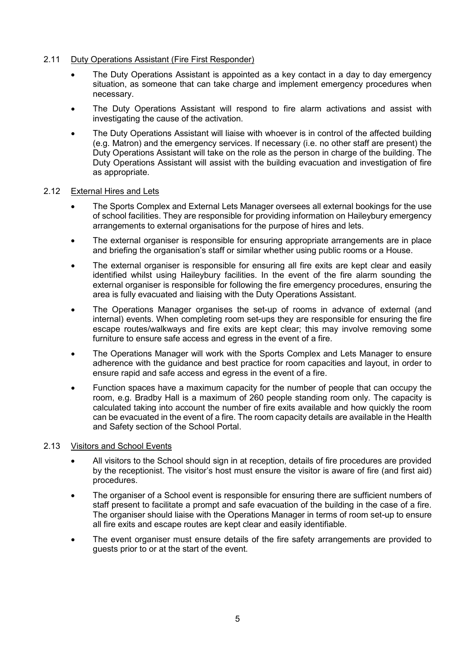# 2.11 Duty Operations Assistant (Fire First Responder)

- The Duty Operations Assistant is appointed as a key contact in a day to day emergency situation, as someone that can take charge and implement emergency procedures when necessary.
- The Duty Operations Assistant will respond to fire alarm activations and assist with investigating the cause of the activation.
- The Duty Operations Assistant will liaise with whoever is in control of the affected building (e.g. Matron) and the emergency services. If necessary (i.e. no other staff are present) the Duty Operations Assistant will take on the role as the person in charge of the building. The Duty Operations Assistant will assist with the building evacuation and investigation of fire as appropriate.

## 2.12 External Hires and Lets

- The Sports Complex and External Lets Manager oversees all external bookings for the use of school facilities. They are responsible for providing information on Haileybury emergency arrangements to external organisations for the purpose of hires and lets.
- The external organiser is responsible for ensuring appropriate arrangements are in place and briefing the organisation's staff or similar whether using public rooms or a House.
- The external organiser is responsible for ensuring all fire exits are kept clear and easily identified whilst using Haileybury facilities. In the event of the fire alarm sounding the external organiser is responsible for following the fire emergency procedures, ensuring the area is fully evacuated and liaising with the Duty Operations Assistant.
- The Operations Manager organises the set-up of rooms in advance of external (and internal) events. When completing room set-ups they are responsible for ensuring the fire escape routes/walkways and fire exits are kept clear; this may involve removing some furniture to ensure safe access and egress in the event of a fire.
- The Operations Manager will work with the Sports Complex and Lets Manager to ensure adherence with the guidance and best practice for room capacities and layout, in order to ensure rapid and safe access and egress in the event of a fire.
- Function spaces have a maximum capacity for the number of people that can occupy the room, e.g. Bradby Hall is a maximum of 260 people standing room only. The capacity is calculated taking into account the number of fire exits available and how quickly the room can be evacuated in the event of a fire. The room capacity details are available in the Health and Safety section of the School Portal.

#### 2.13 Visitors and School Events

- All visitors to the School should sign in at reception, details of fire procedures are provided by the receptionist. The visitor's host must ensure the visitor is aware of fire (and first aid) procedures.
- The organiser of a School event is responsible for ensuring there are sufficient numbers of staff present to facilitate a prompt and safe evacuation of the building in the case of a fire. The organiser should liaise with the Operations Manager in terms of room set-up to ensure all fire exits and escape routes are kept clear and easily identifiable.
- The event organiser must ensure details of the fire safety arrangements are provided to guests prior to or at the start of the event.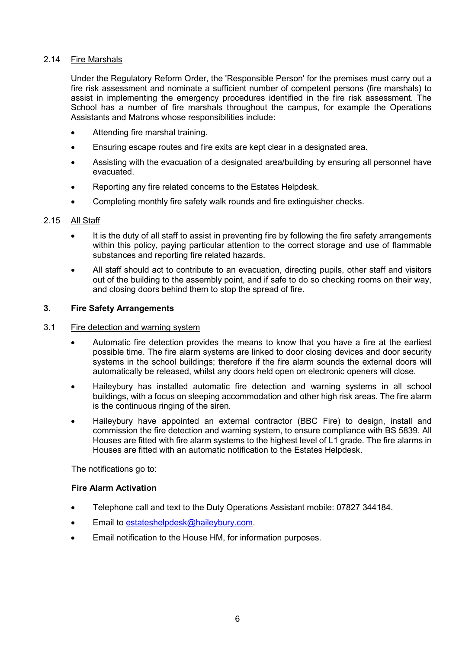# 2.14 Fire Marshals

Under the Regulatory Reform Order, the 'Responsible Person' for the premises must carry out a fire risk assessment and nominate a sufficient number of competent persons (fire marshals) to assist in implementing the emergency procedures identified in the fire risk assessment. The School has a number of fire marshals throughout the campus, for example the Operations Assistants and Matrons whose responsibilities include:

- Attending fire marshal training.
- Ensuring escape routes and fire exits are kept clear in a designated area.
- Assisting with the evacuation of a designated area/building by ensuring all personnel have evacuated.
- Reporting any fire related concerns to the Estates Helpdesk.
- Completing monthly fire safety walk rounds and fire extinguisher checks.

# 2.15 All Staff

- It is the duty of all staff to assist in preventing fire by following the fire safety arrangements within this policy, paying particular attention to the correct storage and use of flammable substances and reporting fire related hazards.
- All staff should act to contribute to an evacuation, directing pupils, other staff and visitors out of the building to the assembly point, and if safe to do so checking rooms on their way, and closing doors behind them to stop the spread of fire.

# **3. Fire Safety Arrangements**

# 3.1 Fire detection and warning system

- Automatic fire detection provides the means to know that you have a fire at the earliest possible time. The fire alarm systems are linked to door closing devices and door security systems in the school buildings; therefore if the fire alarm sounds the external doors will automatically be released, whilst any doors held open on electronic openers will close.
- Haileybury has installed automatic fire detection and warning systems in all school buildings, with a focus on sleeping accommodation and other high risk areas. The fire alarm is the continuous ringing of the siren.
- Haileybury have appointed an external contractor (BBC Fire) to design, install and commission the fire detection and warning system, to ensure compliance with BS 5839. All Houses are fitted with fire alarm systems to the highest level of L1 grade. The fire alarms in Houses are fitted with an automatic notification to the Estates Helpdesk.

The notifications go to:

# **Fire Alarm Activation**

- Telephone call and text to the Duty Operations Assistant mobile: 07827 344184.
- Email to [estateshelpdesk@haileybury.com.](mailto:estateshelpdesk@haileybury.com)
- Email notification to the House HM, for information purposes.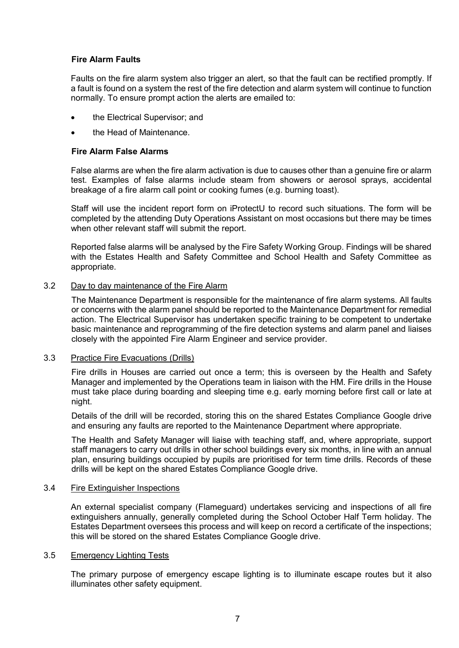# **Fire Alarm Faults**

Faults on the fire alarm system also trigger an alert, so that the fault can be rectified promptly. If a fault is found on a system the rest of the fire detection and alarm system will continue to function normally. To ensure prompt action the alerts are emailed to:

- the Electrical Supervisor; and
- the Head of Maintenance.

## **Fire Alarm False Alarms**

False alarms are when the fire alarm activation is due to causes other than a genuine fire or alarm test. Examples of false alarms include steam from showers or aerosol sprays, accidental breakage of a fire alarm call point or cooking fumes (e.g. burning toast).

Staff will use the incident report form on iProtectU to record such situations. The form will be completed by the attending Duty Operations Assistant on most occasions but there may be times when other relevant staff will submit the report.

Reported false alarms will be analysed by the Fire Safety Working Group. Findings will be shared with the Estates Health and Safety Committee and School Health and Safety Committee as appropriate.

## 3.2 Day to day maintenance of the Fire Alarm

The Maintenance Department is responsible for the maintenance of fire alarm systems. All faults or concerns with the alarm panel should be reported to the Maintenance Department for remedial action. The Electrical Supervisor has undertaken specific training to be competent to undertake basic maintenance and reprogramming of the fire detection systems and alarm panel and liaises closely with the appointed Fire Alarm Engineer and service provider.

## 3.3 Practice Fire Evacuations (Drills)

Fire drills in Houses are carried out once a term; this is overseen by the Health and Safety Manager and implemented by the Operations team in liaison with the HM. Fire drills in the House must take place during boarding and sleeping time e.g. early morning before first call or late at night.

Details of the drill will be recorded, storing this on the shared Estates Compliance Google drive and ensuring any faults are reported to the Maintenance Department where appropriate.

The Health and Safety Manager will liaise with teaching staff, and, where appropriate, support staff managers to carry out drills in other school buildings every six months, in line with an annual plan, ensuring buildings occupied by pupils are prioritised for term time drills. Records of these drills will be kept on the shared Estates Compliance Google drive.

#### 3.4 Fire Extinguisher Inspections

An external specialist company (Flameguard) undertakes servicing and inspections of all fire extinguishers annually, generally completed during the School October Half Term holiday. The Estates Department oversees this process and will keep on record a certificate of the inspections; this will be stored on the shared Estates Compliance Google drive.

#### 3.5 Emergency Lighting Tests

The primary purpose of emergency escape lighting is to illuminate escape routes but it also illuminates other safety equipment.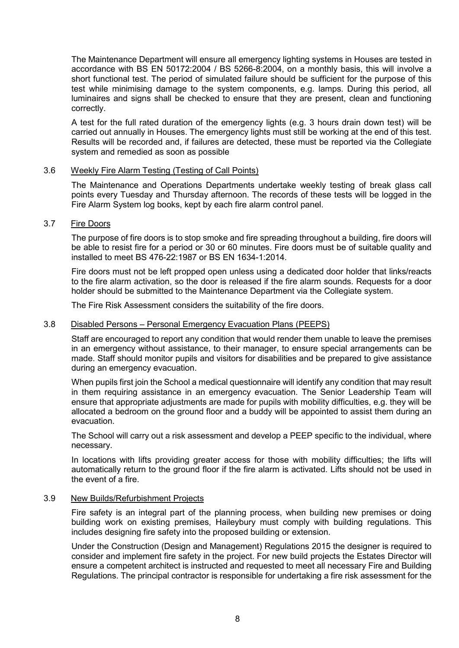The Maintenance Department will ensure all emergency lighting systems in Houses are tested in accordance with BS EN 50172:2004 / BS 5266-8:2004, on a monthly basis, this will involve a short functional test. The period of simulated failure should be sufficient for the purpose of this test while minimising damage to the system components, e.g. lamps. During this period, all luminaires and signs shall be checked to ensure that they are present, clean and functioning correctly.

A test for the full rated duration of the emergency lights (e.g. 3 hours drain down test) will be carried out annually in Houses. The emergency lights must still be working at the end of this test. Results will be recorded and, if failures are detected, these must be reported via the Collegiate system and remedied as soon as possible

## 3.6 Weekly Fire Alarm Testing (Testing of Call Points)

The Maintenance and Operations Departments undertake weekly testing of break glass call points every Tuesday and Thursday afternoon. The records of these tests will be logged in the Fire Alarm System log books, kept by each fire alarm control panel.

# 3.7 Fire Doors

The purpose of fire doors is to stop smoke and fire spreading throughout a building, fire doors will be able to resist fire for a period or 30 or 60 minutes. Fire doors must be of suitable quality and installed to meet BS 476-22:1987 or BS EN 1634-1:2014.

Fire doors must not be left propped open unless using a dedicated door holder that links/reacts to the fire alarm activation, so the door is released if the fire alarm sounds. Requests for a door holder should be submitted to the Maintenance Department via the Collegiate system.

The Fire Risk Assessment considers the suitability of the fire doors.

#### 3.8 Disabled Persons – Personal Emergency Evacuation Plans (PEEPS)

Staff are encouraged to report any condition that would render them unable to leave the premises in an emergency without assistance, to their manager, to ensure special arrangements can be made. Staff should monitor pupils and visitors for disabilities and be prepared to give assistance during an emergency evacuation.

When pupils first join the School a medical questionnaire will identify any condition that may result in them requiring assistance in an emergency evacuation. The Senior Leadership Team will ensure that appropriate adjustments are made for pupils with mobility difficulties, e.g. they will be allocated a bedroom on the ground floor and a buddy will be appointed to assist them during an evacuation.

The School will carry out a risk assessment and develop a PEEP specific to the individual, where necessary.

In locations with lifts providing greater access for those with mobility difficulties; the lifts will automatically return to the ground floor if the fire alarm is activated. Lifts should not be used in the event of a fire.

#### 3.9 New Builds/Refurbishment Projects

Fire safety is an integral part of the planning process, when building new premises or doing building work on existing premises, Haileybury must comply with building regulations. This includes designing fire safety into the proposed building or extension.

Under the Construction (Design and Management) Regulations 2015 the designer is required to consider and implement fire safety in the project. For new build projects the Estates Director will ensure a competent architect is instructed and requested to meet all necessary Fire and Building Regulations. The principal contractor is responsible for undertaking a fire risk assessment for the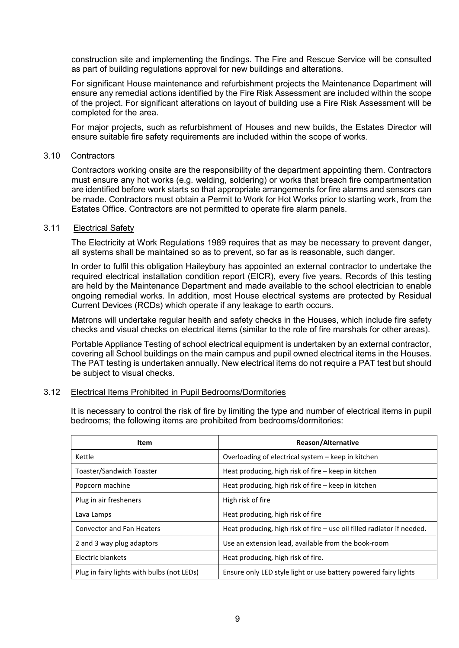construction site and implementing the findings. The Fire and Rescue Service will be consulted as part of building regulations approval for new buildings and alterations.

For significant House maintenance and refurbishment projects the Maintenance Department will ensure any remedial actions identified by the Fire Risk Assessment are included within the scope of the project. For significant alterations on layout of building use a Fire Risk Assessment will be completed for the area.

For major projects, such as refurbishment of Houses and new builds, the Estates Director will ensure suitable fire safety requirements are included within the scope of works.

#### 3.10 Contractors

Contractors working onsite are the responsibility of the department appointing them. Contractors must ensure any hot works (e.g. welding, soldering) or works that breach fire compartmentation are identified before work starts so that appropriate arrangements for fire alarms and sensors can be made. Contractors must obtain a Permit to Work for Hot Works prior to starting work, from the Estates Office. Contractors are not permitted to operate fire alarm panels.

# 3.11 Electrical Safety

The Electricity at Work Regulations 1989 requires that as may be necessary to prevent danger, all systems shall be maintained so as to prevent, so far as is reasonable, such danger.

In order to fulfil this obligation Haileybury has appointed an external contractor to undertake the required electrical installation condition report (EICR), every five years. Records of this testing are held by the Maintenance Department and made available to the school electrician to enable ongoing remedial works. In addition, most House electrical systems are protected by Residual Current Devices (RCDs) which operate if any leakage to earth occurs.

Matrons will undertake regular health and safety checks in the Houses, which include fire safety checks and visual checks on electrical items (similar to the role of fire marshals for other areas).

Portable Appliance Testing of school electrical equipment is undertaken by an external contractor, covering all School buildings on the main campus and pupil owned electrical items in the Houses. The PAT testing is undertaken annually. New electrical items do not require a PAT test but should be subject to visual checks.

# 3.12 Electrical Items Prohibited in Pupil Bedrooms/Dormitories

It is necessary to control the risk of fire by limiting the type and number of electrical items in pupil bedrooms; the following items are prohibited from bedrooms/dormitories:

| Item                                       | <b>Reason/Alternative</b>                                                |
|--------------------------------------------|--------------------------------------------------------------------------|
| Kettle                                     | Overloading of electrical system – keep in kitchen                       |
| Toaster/Sandwich Toaster                   | Heat producing, high risk of fire – keep in kitchen                      |
| Popcorn machine                            | Heat producing, high risk of fire – keep in kitchen                      |
| Plug in air fresheners                     | High risk of fire                                                        |
| Lava Lamps                                 | Heat producing, high risk of fire                                        |
| <b>Convector and Fan Heaters</b>           | Heat producing, high risk of fire $-$ use oil filled radiator if needed. |
| 2 and 3 way plug adaptors                  | Use an extension lead, available from the book-room                      |
| Electric blankets                          | Heat producing, high risk of fire.                                       |
| Plug in fairy lights with bulbs (not LEDs) | Ensure only LED style light or use battery powered fairy lights          |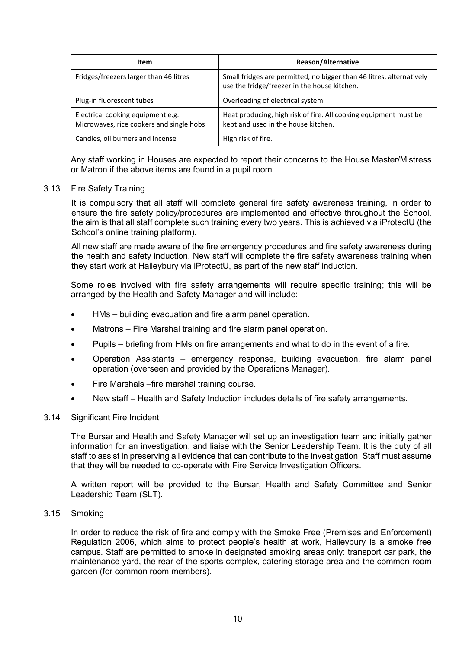| <b>Item</b>                                                                   | <b>Reason/Alternative</b>                                                                                            |  |
|-------------------------------------------------------------------------------|----------------------------------------------------------------------------------------------------------------------|--|
| Fridges/freezers larger than 46 litres                                        | Small fridges are permitted, no bigger than 46 litres; alternatively<br>use the fridge/freezer in the house kitchen. |  |
| Plug-in fluorescent tubes                                                     | Overloading of electrical system                                                                                     |  |
| Electrical cooking equipment e.g.<br>Microwaves, rice cookers and single hobs | Heat producing, high risk of fire. All cooking equipment must be<br>kept and used in the house kitchen.              |  |
| Candles, oil burners and incense                                              | High risk of fire.                                                                                                   |  |

Any staff working in Houses are expected to report their concerns to the House Master/Mistress or Matron if the above items are found in a pupil room.

## 3.13 Fire Safety Training

It is compulsory that all staff will complete general fire safety awareness training, in order to ensure the fire safety policy/procedures are implemented and effective throughout the School, the aim is that all staff complete such training every two years. This is achieved via iProtectU (the School's online training platform).

All new staff are made aware of the fire emergency procedures and fire safety awareness during the health and safety induction. New staff will complete the fire safety awareness training when they start work at Haileybury via iProtectU, as part of the new staff induction.

Some roles involved with fire safety arrangements will require specific training; this will be arranged by the Health and Safety Manager and will include:

- HMs building evacuation and fire alarm panel operation.
- Matrons Fire Marshal training and fire alarm panel operation.
- Pupils briefing from HMs on fire arrangements and what to do in the event of a fire.
- Operation Assistants emergency response, building evacuation, fire alarm panel operation (overseen and provided by the Operations Manager).
- Fire Marshals –fire marshal training course.
- New staff Health and Safety Induction includes details of fire safety arrangements.

#### 3.14 Significant Fire Incident

The Bursar and Health and Safety Manager will set up an investigation team and initially gather information for an investigation, and liaise with the Senior Leadership Team. It is the duty of all staff to assist in preserving all evidence that can contribute to the investigation. Staff must assume that they will be needed to co-operate with Fire Service Investigation Officers.

A written report will be provided to the Bursar, Health and Safety Committee and Senior Leadership Team (SLT).

3.15 Smoking

In order to reduce the risk of fire and comply with the Smoke Free (Premises and Enforcement) Regulation 2006, which aims to protect people's health at work, Haileybury is a smoke free campus. Staff are permitted to smoke in designated smoking areas only: transport car park, the maintenance yard, the rear of the sports complex, catering storage area and the common room garden (for common room members).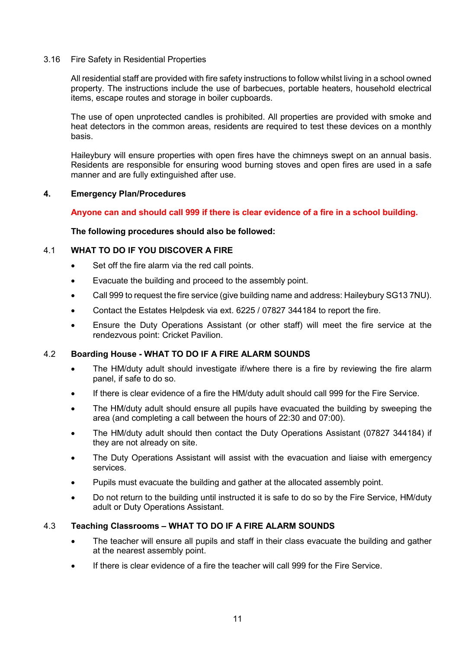## 3.16 Fire Safety in Residential Properties

All residential staff are provided with fire safety instructions to follow whilst living in a school owned property. The instructions include the use of barbecues, portable heaters, household electrical items, escape routes and storage in boiler cupboards.

The use of open unprotected candles is prohibited. All properties are provided with smoke and heat detectors in the common areas, residents are required to test these devices on a monthly basis.

Haileybury will ensure properties with open fires have the chimneys swept on an annual basis. Residents are responsible for ensuring wood burning stoves and open fires are used in a safe manner and are fully extinguished after use.

## **4. Emergency Plan/Procedures**

# **Anyone can and should call 999 if there is clear evidence of a fire in a school building.**

**The following procedures should also be followed:**

# 4.1 **WHAT TO DO IF YOU DISCOVER A FIRE**

- Set off the fire alarm via the red call points.
- Evacuate the building and proceed to the assembly point.
- Call 999 to request the fire service (give building name and address: Haileybury SG13 7NU).
- Contact the Estates Helpdesk via ext. 6225 / 07827 344184 to report the fire.
- Ensure the Duty Operations Assistant (or other staff) will meet the fire service at the rendezvous point: Cricket Pavilion.

# 4.2 **Boarding House - WHAT TO DO IF A FIRE ALARM SOUNDS**

- The HM/duty adult should investigate if/where there is a fire by reviewing the fire alarm panel, if safe to do so.
- If there is clear evidence of a fire the HM/duty adult should call 999 for the Fire Service.
- The HM/duty adult should ensure all pupils have evacuated the building by sweeping the area (and completing a call between the hours of 22:30 and 07:00).
- The HM/duty adult should then contact the Duty Operations Assistant (07827 344184) if they are not already on site.
- The Duty Operations Assistant will assist with the evacuation and liaise with emergency services.
- Pupils must evacuate the building and gather at the allocated assembly point.
- Do not return to the building until instructed it is safe to do so by the Fire Service, HM/duty adult or Duty Operations Assistant.

# 4.3 **Teaching Classrooms – WHAT TO DO IF A FIRE ALARM SOUNDS**

- The teacher will ensure all pupils and staff in their class evacuate the building and gather at the nearest assembly point.
- If there is clear evidence of a fire the teacher will call 999 for the Fire Service.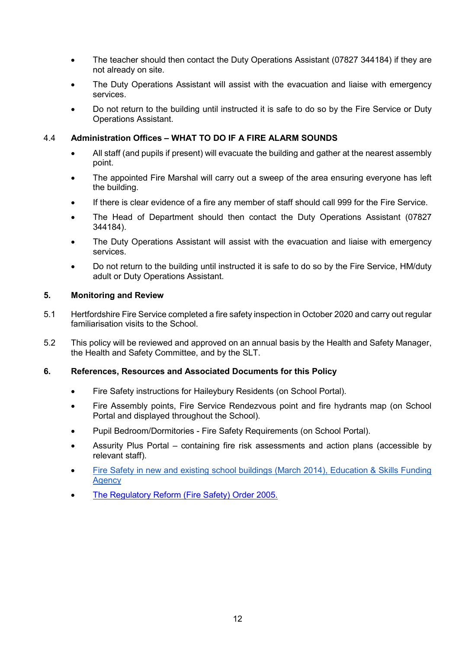- The teacher should then contact the Duty Operations Assistant (07827 344184) if they are not already on site.
- The Duty Operations Assistant will assist with the evacuation and liaise with emergency services.
- Do not return to the building until instructed it is safe to do so by the Fire Service or Duty Operations Assistant.

# 4.4 **Administration Offices – WHAT TO DO IF A FIRE ALARM SOUNDS**

- All staff (and pupils if present) will evacuate the building and gather at the nearest assembly point.
- The appointed Fire Marshal will carry out a sweep of the area ensuring everyone has left the building.
- If there is clear evidence of a fire any member of staff should call 999 for the Fire Service.
- The Head of Department should then contact the Duty Operations Assistant (07827 344184).
- The Duty Operations Assistant will assist with the evacuation and liaise with emergency services.
- Do not return to the building until instructed it is safe to do so by the Fire Service, HM/duty adult or Duty Operations Assistant.

# **5. Monitoring and Review**

- 5.1 Hertfordshire Fire Service completed a fire safety inspection in October 2020 and carry out regular familiarisation visits to the School.
- 5.2 This policy will be reviewed and approved on an annual basis by the Health and Safety Manager, the Health and Safety Committee, and by the SLT.

# **6. References, Resources and Associated Documents for this Policy**

- Fire Safety instructions for Haileybury Residents (on School Portal).
- Fire Assembly points, Fire Service Rendezvous point and fire hydrants map (on School Portal and displayed throughout the School).
- Pupil Bedroom/Dormitories Fire Safety Requirements (on School Portal).
- Assurity Plus Portal containing fire risk assessments and action plans (accessible by relevant staff).
- [Fire Safety in new and existing school buildings \(March 2014\), Education & Skills Funding](https://www.gov.uk/government/publications/fire-safety-in-new-and-existing-school-buildings/fire-safety-in-new-and-existing-school-buildings)  **[Agency](https://www.gov.uk/government/publications/fire-safety-in-new-and-existing-school-buildings/fire-safety-in-new-and-existing-school-buildings)**
- [The Regulatory Reform \(Fire Safety\) Order 2005.](https://www.legislation.gov.uk/uksi/2005/1541/contents/made)